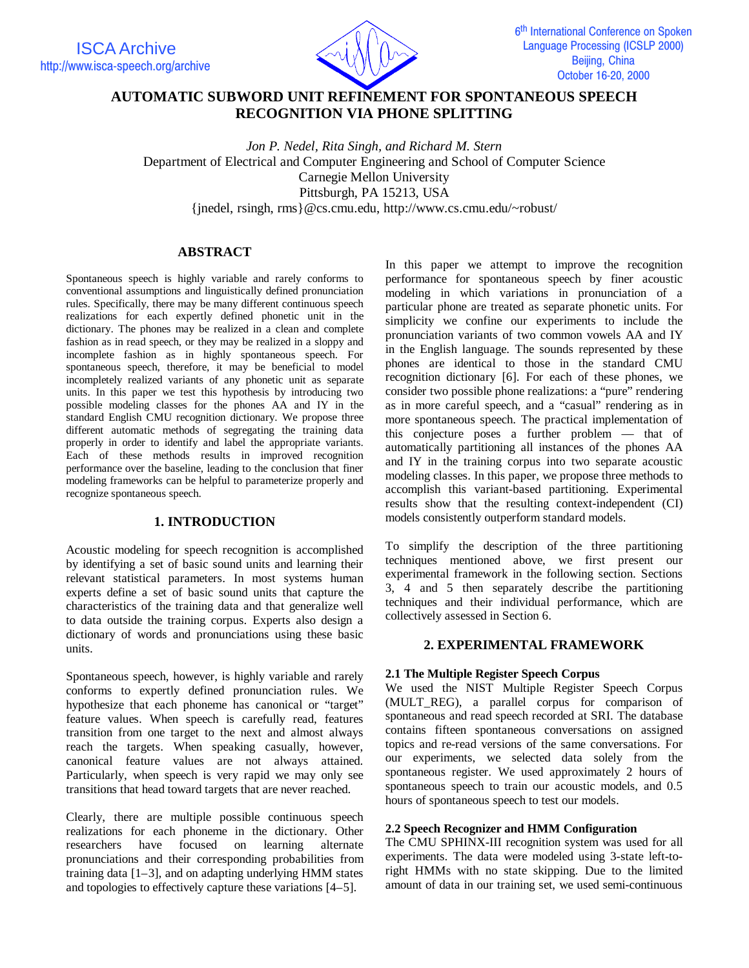

# **AUTOMATIC SUBWORD UNIT REFINEMENT FOR SPONTANEOUS SPEECH RECOGNITION VIA PHONE SPLITTING**

*Jon P. Nedel, Rita Singh, and Richard M. Stern* Department of Electrical and Computer Engineering and School of Computer Science Carnegie Mellon University Pittsburgh, PA 15213, USA {jnedel, rsingh, rms}@cs.cmu.edu, http://www.cs.cmu.edu/~robust/

## **ABSTRACT**

Spontaneous speech is highly variable and rarely conforms to conventional assumptions and linguistically defined pronunciation rules. Specifically, there may be many different continuous speech realizations for each expertly defined phonetic unit in the dictionary. The phones may be realized in a clean and complete fashion as in read speech, or they may be realized in a sloppy and incomplete fashion as in highly spontaneous speech. For spontaneous speech, therefore, it may be beneficial to model incompletely realized variants of any phonetic unit as separate units. In this paper we test this hypothesis by introducing two possible modeling classes for the phones AA and IY in the standard English CMU recognition dictionary. We propose three different automatic methods of segregating the training data properly in order to identify and label the appropriate variants. Each of these methods results in improved recognition performance over the baseline, leading to the conclusion that finer modeling frameworks can be helpful to parameterize properly and recognize spontaneous speech.

## **1. INTRODUCTION**

Acoustic modeling for speech recognition is accomplished by identifying a set of basic sound units and learning their relevant statistical parameters. In most systems human experts define a set of basic sound units that capture the characteristics of the training data and that generalize well to data outside the training corpus. Experts also design a dictionary of words and pronunciations using these basic units.

Spontaneous speech, however, is highly variable and rarely conforms to expertly defined pronunciation rules. We hypothesize that each phoneme has canonical or "target" feature values. When speech is carefully read, features transition from one target to the next and almost always reach the targets. When speaking casually, however, canonical feature values are not always attained. Particularly, when speech is very rapid we may only see transitions that head toward targets that are never reached.

Clearly, there are multiple possible continuous speech realizations for each phoneme in the dictionary. Other researchers have focused on learning alternate pronunciations and their corresponding probabilities from training data [1–3], and on adapting underlying HMM states and topologies to effectively capture these variations [4–5].

In this paper we attempt to improve the recognition performance for spontaneous speech by finer acoustic modeling in which variations in pronunciation of a particular phone are treated as separate phonetic units. For simplicity we confine our experiments to include the pronunciation variants of two common vowels AA and IY in the English language. The sounds represented by these phones are identical to those in the standard CMU recognition dictionary [6]. For each of these phones, we consider two possible phone realizations: a "pure" rendering as in more careful speech, and a "casual" rendering as in more spontaneous speech. The practical implementation of this conjecture poses a further problem — that of automatically partitioning all instances of the phones AA and IY in the training corpus into two separate acoustic modeling classes. In this paper, we propose three methods to accomplish this variant-based partitioning. Experimental results show that the resulting context-independent (CI) models consistently outperform standard models.

To simplify the description of the three partitioning techniques mentioned above, we first present our experimental framework in the following section. Sections 3, 4 and 5 then separately describe the partitioning techniques and their individual performance, which are collectively assessed in Section 6.

## **2. EXPERIMENTAL FRAMEWORK**

## **2.1 The Multiple Register Speech Corpus**

We used the NIST Multiple Register Speech Corpus (MULT\_REG), a parallel corpus for comparison of spontaneous and read speech recorded at SRI. The database contains fifteen spontaneous conversations on assigned topics and re-read versions of the same conversations. For our experiments, we selected data solely from the spontaneous register. We used approximately 2 hours of spontaneous speech to train our acoustic models, and 0.5 hours of spontaneous speech to test our models.

## **2.2 Speech Recognizer and HMM Configuration**

The CMU SPHINX-III recognition system was used for all experiments. The data were modeled using 3-state left-toright HMMs with no state skipping. Due to the limited amount of data in our training set, we used semi-continuous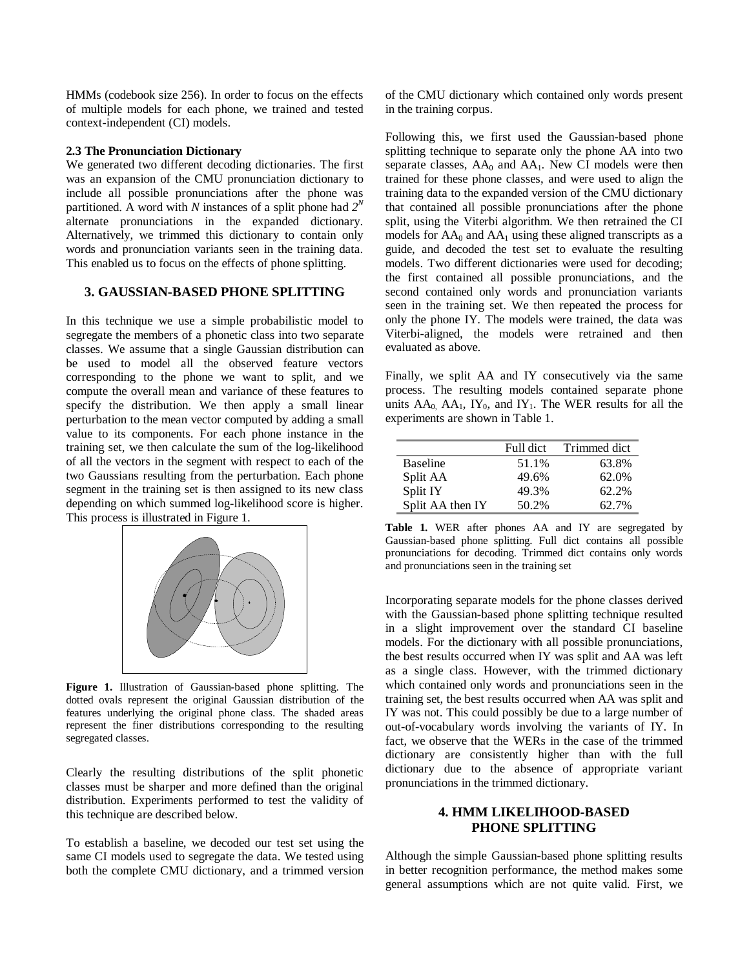HMMs (codebook size 256). In order to focus on the effects of multiple models for each phone, we trained and tested context-independent (CI) models.

#### **2.3 The Pronunciation Dictionary**

We generated two different decoding dictionaries. The first was an expansion of the CMU pronunciation dictionary to include all possible pronunciations after the phone was partitioned. A word with *N* instances of a split phone had  $2^N$ alternate pronunciations in the expanded dictionary. Alternatively, we trimmed this dictionary to contain only words and pronunciation variants seen in the training data. This enabled us to focus on the effects of phone splitting.

### **3. GAUSSIAN-BASED PHONE SPLITTING**

In this technique we use a simple probabilistic model to segregate the members of a phonetic class into two separate classes. We assume that a single Gaussian distribution can be used to model all the observed feature vectors corresponding to the phone we want to split, and we compute the overall mean and variance of these features to specify the distribution. We then apply a small linear perturbation to the mean vector computed by adding a small value to its components. For each phone instance in the training set, we then calculate the sum of the log-likelihood of all the vectors in the segment with respect to each of the two Gaussians resulting from the perturbation. Each phone segment in the training set is then assigned to its new class depending on which summed log-likelihood score is higher. This process is illustrated in Figure 1.



**Figure 1.** Illustration of Gaussian-based phone splitting. The dotted ovals represent the original Gaussian distribution of the features underlying the original phone class. The shaded areas represent the finer distributions corresponding to the resulting segregated classes.

Clearly the resulting distributions of the split phonetic classes must be sharper and more defined than the original distribution. Experiments performed to test the validity of this technique are described below.

To establish a baseline, we decoded our test set using the same CI models used to segregate the data. We tested using both the complete CMU dictionary, and a trimmed version

of the CMU dictionary which contained only words present in the training corpus.

Following this, we first used the Gaussian-based phone splitting technique to separate only the phone AA into two separate classes,  $AA_0$  and  $AA_1$ . New CI models were then trained for these phone classes, and were used to align the training data to the expanded version of the CMU dictionary that contained all possible pronunciations after the phone split, using the Viterbi algorithm. We then retrained the CI models for  $AA_0$  and  $AA_1$  using these aligned transcripts as a guide, and decoded the test set to evaluate the resulting models. Two different dictionaries were used for decoding; the first contained all possible pronunciations, and the second contained only words and pronunciation variants seen in the training set. We then repeated the process for only the phone IY. The models were trained, the data was Viterbi-aligned, the models were retrained and then evaluated as above.

Finally, we split AA and IY consecutively via the same process. The resulting models contained separate phone units  $AA_0$ ,  $AA_1$ ,  $IY_0$ , and  $IY_1$ . The WER results for all the experiments are shown in Table 1.

|                  | Full dict | Trimmed dict |
|------------------|-----------|--------------|
| <b>Baseline</b>  | 51.1%     | 63.8%        |
| Split AA         | 49.6%     | 62.0%        |
| Split IY         | 49.3%     | 62.2%        |
| Split AA then IY | 50.2%     | 62.7%        |

**Table 1.** WER after phones AA and IY are segregated by Gaussian-based phone splitting. Full dict contains all possible pronunciations for decoding. Trimmed dict contains only words and pronunciations seen in the training set

Incorporating separate models for the phone classes derived with the Gaussian-based phone splitting technique resulted in a slight improvement over the standard CI baseline models. For the dictionary with all possible pronunciations, the best results occurred when IY was split and AA was left as a single class. However, with the trimmed dictionary which contained only words and pronunciations seen in the training set, the best results occurred when AA was split and IY was not. This could possibly be due to a large number of out-of-vocabulary words involving the variants of IY. In fact, we observe that the WERs in the case of the trimmed dictionary are consistently higher than with the full dictionary due to the absence of appropriate variant pronunciations in the trimmed dictionary.

## **4. HMM LIKELIHOOD-BASED PHONE SPLITTING**

Although the simple Gaussian-based phone splitting results in better recognition performance, the method makes some general assumptions which are not quite valid. First, we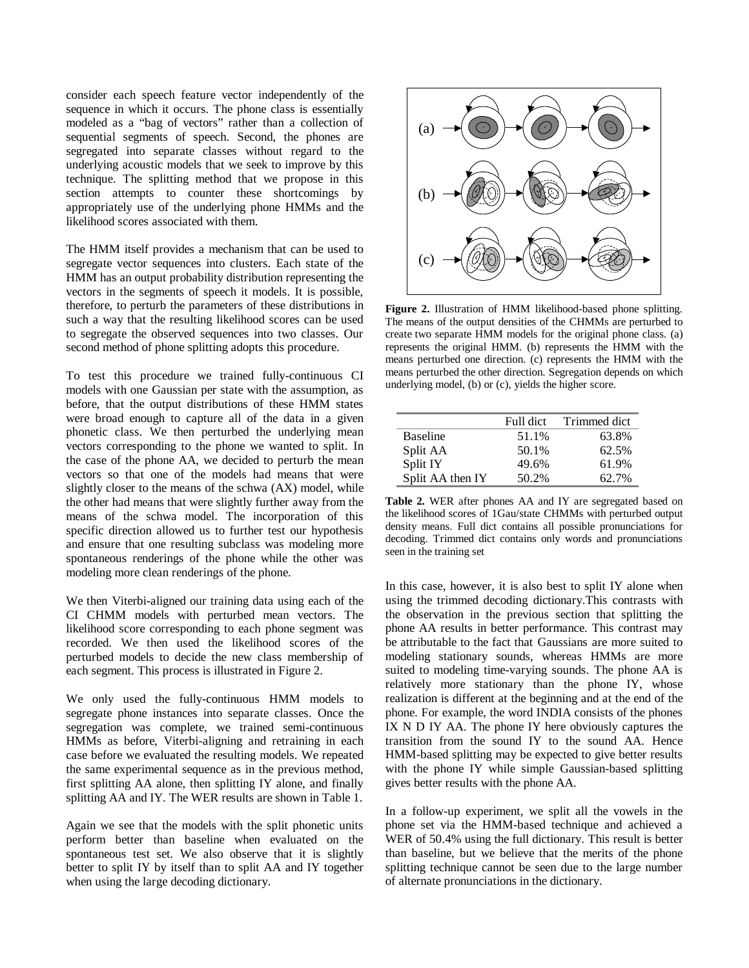consider each speech feature vector independently of the sequence in which it occurs. The phone class is essentially modeled as a "bag of vectors" rather than a collection of sequential segments of speech. Second, the phones are segregated into separate classes without regard to the underlying acoustic models that we seek to improve by this technique. The splitting method that we propose in this section attempts to counter these shortcomings by appropriately use of the underlying phone HMMs and the likelihood scores associated with them.

The HMM itself provides a mechanism that can be used to segregate vector sequences into clusters. Each state of the HMM has an output probability distribution representing the vectors in the segments of speech it models. It is possible, therefore, to perturb the parameters of these distributions in such a way that the resulting likelihood scores can be used to segregate the observed sequences into two classes. Our second method of phone splitting adopts this procedure.

To test this procedure we trained fully-continuous CI models with one Gaussian per state with the assumption, as before, that the output distributions of these HMM states were broad enough to capture all of the data in a given phonetic class. We then perturbed the underlying mean vectors corresponding to the phone we wanted to split. In the case of the phone AA, we decided to perturb the mean vectors so that one of the models had means that were slightly closer to the means of the schwa (AX) model, while the other had means that were slightly further away from the means of the schwa model. The incorporation of this specific direction allowed us to further test our hypothesis and ensure that one resulting subclass was modeling more spontaneous renderings of the phone while the other was modeling more clean renderings of the phone.

We then Viterbi-aligned our training data using each of the CI CHMM models with perturbed mean vectors. The likelihood score corresponding to each phone segment was recorded. We then used the likelihood scores of the perturbed models to decide the new class membership of each segment. This process is illustrated in Figure 2.

We only used the fully-continuous HMM models to segregate phone instances into separate classes. Once the segregation was complete, we trained semi-continuous HMMs as before, Viterbi-aligning and retraining in each case before we evaluated the resulting models. We repeated the same experimental sequence as in the previous method, first splitting AA alone, then splitting IY alone, and finally splitting AA and IY. The WER results are shown in Table 1.

Again we see that the models with the split phonetic units perform better than baseline when evaluated on the spontaneous test set. We also observe that it is slightly better to split IY by itself than to split AA and IY together when using the large decoding dictionary.



**Figure 2.** Illustration of HMM likelihood-based phone splitting. The means of the output densities of the CHMMs are perturbed to create two separate HMM models for the original phone class. (a) represents the original HMM. (b) represents the HMM with the means perturbed one direction. (c) represents the HMM with the means perturbed the other direction. Segregation depends on which underlying model, (b) or (c), yields the higher score.

|                  | Full dict | Trimmed dict |
|------------------|-----------|--------------|
| <b>Baseline</b>  | 51.1%     | 63.8%        |
| Split AA         | 50.1%     | 62.5%        |
| Split IY         | 49.6%     | 61.9%        |
| Split AA then IY | 50.2%     | 62.7%        |

**Table 2.** WER after phones AA and IY are segregated based on the likelihood scores of 1Gau/state CHMMs with perturbed output density means. Full dict contains all possible pronunciations for decoding. Trimmed dict contains only words and pronunciations seen in the training set

In this case, however, it is also best to split IY alone when using the trimmed decoding dictionary.This contrasts with the observation in the previous section that splitting the phone AA results in better performance. This contrast may be attributable to the fact that Gaussians are more suited to modeling stationary sounds, whereas HMMs are more suited to modeling time-varying sounds. The phone AA is relatively more stationary than the phone IY, whose realization is different at the beginning and at the end of the phone. For example, the word INDIA consists of the phones IX N D IY AA. The phone IY here obviously captures the transition from the sound IY to the sound AA. Hence HMM-based splitting may be expected to give better results with the phone IY while simple Gaussian-based splitting gives better results with the phone AA.

In a follow-up experiment, we split all the vowels in the phone set via the HMM-based technique and achieved a WER of 50.4% using the full dictionary. This result is better than baseline, but we believe that the merits of the phone splitting technique cannot be seen due to the large number of alternate pronunciations in the dictionary.